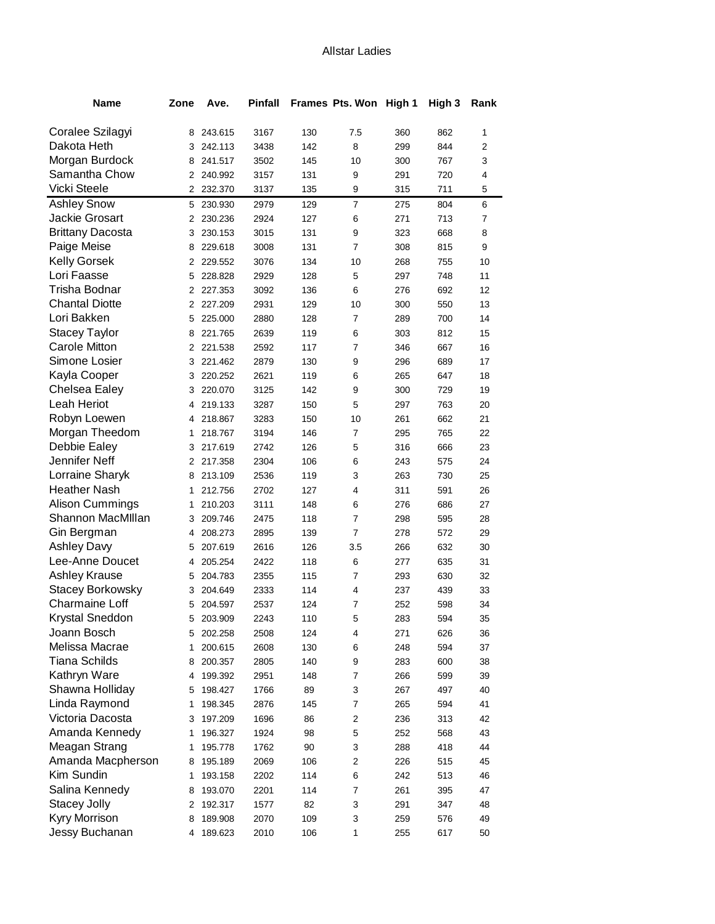| <b>Name</b>             | Zone           | Ave.      | <b>Pinfall</b> |     | Frames Pts. Won High 1 |     | High 3 | Rank |
|-------------------------|----------------|-----------|----------------|-----|------------------------|-----|--------|------|
|                         |                |           |                |     |                        |     |        |      |
| Coralee Szilagyi        |                | 8 243.615 | 3167           | 130 | 7.5                    | 360 | 862    | 1    |
| Dakota Heth             | 3              | 242.113   | 3438           | 142 | 8                      | 299 | 844    | 2    |
| Morgan Burdock          | 8              | 241.517   | 3502           | 145 | 10                     | 300 | 767    | 3    |
| Samantha Chow           |                | 2 240.992 | 3157           | 131 | 9                      | 291 | 720    | 4    |
| Vicki Steele            | $\overline{2}$ | 232.370   | 3137           | 135 | 9                      | 315 | 711    | 5    |
| <b>Ashley Snow</b>      | 5              | 230.930   | 2979           | 129 | $\overline{7}$         | 275 | 804    | 6    |
| Jackie Grosart          | 2              | 230.236   | 2924           | 127 | 6                      | 271 | 713    | 7    |
| <b>Brittany Dacosta</b> | 3              | 230.153   | 3015           | 131 | 9                      | 323 | 668    | 8    |
| Paige Meise             | 8              | 229.618   | 3008           | 131 | $\overline{7}$         | 308 | 815    | 9    |
| <b>Kelly Gorsek</b>     |                | 2 229.552 | 3076           | 134 | 10                     | 268 | 755    | 10   |
| Lori Faasse             | 5              | 228.828   | 2929           | 128 | 5                      | 297 | 748    | 11   |
| Trisha Bodnar           |                | 2 227.353 | 3092           | 136 | 6                      | 276 | 692    | 12   |
| <b>Chantal Diotte</b>   |                | 2 227.209 | 2931           | 129 | 10                     | 300 | 550    | 13   |
| Lori Bakken             | 5              | 225.000   | 2880           | 128 | $\overline{7}$         | 289 | 700    | 14   |
| <b>Stacey Taylor</b>    | 8              | 221.765   | 2639           | 119 | 6                      | 303 | 812    | 15   |
| <b>Carole Mitton</b>    |                | 2 221.538 | 2592           | 117 | $\overline{7}$         | 346 | 667    | 16   |
| Simone Losier           | 3              | 221.462   | 2879           | 130 | 9                      | 296 | 689    | 17   |
| Kayla Cooper            | 3              | 220.252   | 2621           | 119 | 6                      | 265 | 647    | 18   |
| Chelsea Ealey           | 3              | 220.070   | 3125           | 142 | 9                      | 300 | 729    | 19   |
| Leah Heriot             | 4              | 219.133   | 3287           | 150 | 5                      | 297 | 763    | 20   |
| Robyn Loewen            | 4              | 218.867   | 3283           | 150 | 10                     | 261 | 662    | 21   |
| Morgan Theedom          | $\mathbf 1$    | 218.767   | 3194           | 146 | $\overline{7}$         | 295 | 765    | 22   |
| Debbie Ealey            | 3              | 217.619   | 2742           | 126 | 5                      | 316 | 666    | 23   |
| Jennifer Neff           | 2              | 217.358   | 2304           | 106 | 6                      | 243 | 575    | 24   |
| Lorraine Sharyk         | 8              | 213.109   | 2536           | 119 | 3                      | 263 | 730    | 25   |
| <b>Heather Nash</b>     | 1              | 212.756   | 2702           | 127 | 4                      | 311 | 591    | 26   |
| Alison Cummings         | $\mathbf{1}$   | 210.203   | 3111           | 148 | 6                      | 276 | 686    | 27   |
| Shannon MacMillan       | 3              | 209.746   | 2475           | 118 | $\overline{7}$         | 298 | 595    | 28   |
| Gin Bergman             | 4              | 208.273   | 2895           | 139 | 7                      | 278 | 572    | 29   |
| <b>Ashley Davy</b>      | 5              | 207.619   | 2616           | 126 | 3.5                    | 266 | 632    | 30   |
| Lee-Anne Doucet         | 4              | 205.254   | 2422           | 118 | 6                      | 277 | 635    | 31   |
| <b>Ashley Krause</b>    | 5              | 204.783   | 2355           | 115 | $\overline{7}$         | 293 | 630    | 32   |
| Stacey Borkowsky        | 3              | 204.649   | 2333           | 114 | 4                      | 237 | 439    | 33   |
| <b>Charmaine Loff</b>   | 5              | 204.597   | 2537           | 124 | $\overline{7}$         | 252 | 598    | 34   |
| Krystal Sneddon         |                | 5 203.909 | 2243           | 110 | 5                      | 283 | 594    | 35   |
| Joann Bosch             | 5              | 202.258   | 2508           | 124 | 4                      | 271 | 626    | 36   |
| Melissa Macrae          | 1              | 200.615   | 2608           | 130 | 6                      | 248 | 594    | 37   |
| <b>Tiana Schilds</b>    | 8              | 200.357   | 2805           | 140 | 9                      | 283 | 600    | 38   |
| Kathryn Ware            | 4              | 199.392   | 2951           | 148 | $\overline{7}$         | 266 | 599    | 39   |
| Shawna Holliday         | 5              | 198.427   | 1766           | 89  | 3                      | 267 | 497    | 40   |
| Linda Raymond           | 1              | 198.345   | 2876           | 145 | $\overline{7}$         | 265 | 594    | 41   |
| Victoria Dacosta        | 3              | 197.209   | 1696           | 86  | $\overline{2}$         | 236 | 313    | 42   |
| Amanda Kennedy          | 1              | 196.327   | 1924           | 98  | 5                      | 252 | 568    | 43   |
| Meagan Strang           | 1              | 195.778   | 1762           | 90  | 3                      | 288 | 418    | 44   |
| Amanda Macpherson       | 8              | 195.189   | 2069           | 106 | 2                      | 226 | 515    | 45   |
| Kim Sundin              | 1              | 193.158   | 2202           | 114 | 6                      | 242 | 513    | 46   |
| Salina Kennedy          | 8              | 193.070   | 2201           | 114 | 7                      | 261 | 395    | 47   |
| Stacey Jolly            | 2              | 192.317   | 1577           | 82  | 3                      | 291 | 347    | 48   |
| Kyry Morrison           | 8              | 189.908   | 2070           | 109 | 3                      | 259 | 576    | 49   |
| Jessy Buchanan          | 4              | 189.623   | 2010           | 106 | 1                      | 255 | 617    | 50   |